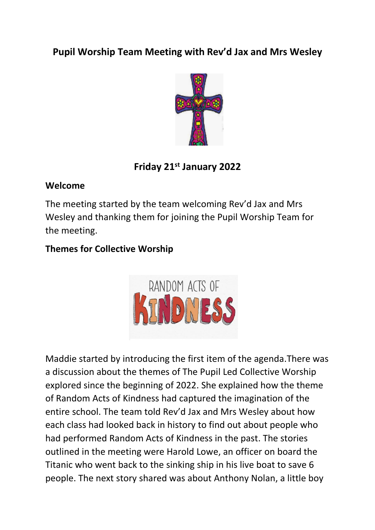# **Pupil Worship Team Meeting with Rev'd Jax and Mrs Wesley**



# **Friday 21st January 2022**

#### **Welcome**

The meeting started by the team welcoming Rev'd Jax and Mrs Wesley and thanking them for joining the Pupil Worship Team for the meeting.

## **Themes for Collective Worship**



Maddie started by introducing the first item of the agenda.There was a discussion about the themes of The Pupil Led Collective Worship explored since the beginning of 2022. She explained how the theme of Random Acts of Kindness had captured the imagination of the entire school. The team told Rev'd Jax and Mrs Wesley about how each class had looked back in history to find out about people who had performed Random Acts of Kindness in the past. The stories outlined in the meeting were Harold Lowe, an officer on board the Titanic who went back to the sinking ship in his live boat to save 6 people. The next story shared was about Anthony Nolan, a little boy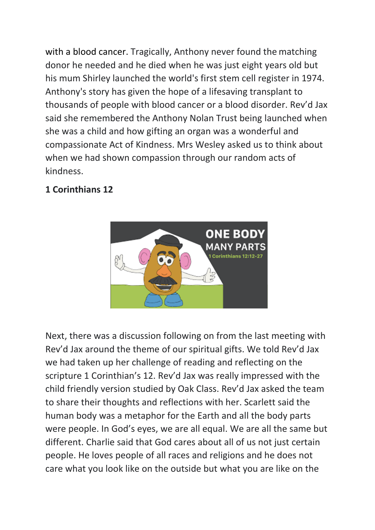with a blood cancer. Tragically, Anthony never found the matching donor he needed and he died when he was just eight years old but his mum Shirley launched the world's first stem cell register in 1974. Anthony's story has given the hope of a lifesaving transplant to thousands of people with blood cancer or a blood disorder. Rev'd Jax said she remembered the Anthony Nolan Trust being launched when she was a child and how gifting an organ was a wonderful and compassionate Act of Kindness. Mrs Wesley asked us to think about when we had shown compassion through our random acts of kindness.

### **1 Corinthians 12**



Next, there was a discussion following on from the last meeting with Rev'd Jax around the theme of our spiritual gifts. We told Rev'd Jax we had taken up her challenge of reading and reflecting on the scripture 1 Corinthian's 12. Rev'd Jax was really impressed with the child friendly version studied by Oak Class. Rev'd Jax asked the team to share their thoughts and reflections with her. Scarlett said the human body was a metaphor for the Earth and all the body parts were people. In God's eyes, we are all equal. We are all the same but different. Charlie said that God cares about all of us not just certain people. He loves people of all races and religions and he does not care what you look like on the outside but what you are like on the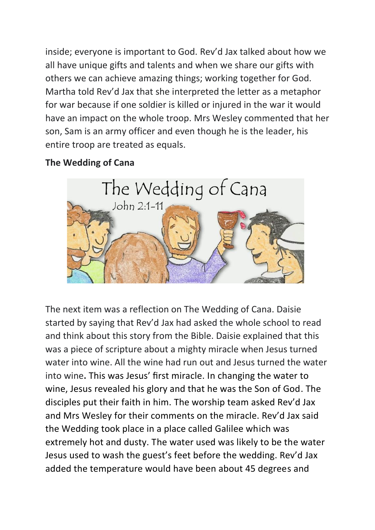inside; everyone is important to God. Rev'd Jax talked about how we all have unique gifts and talents and when we share our gifts with others we can achieve amazing things; working together for God. Martha told Rev'd Jax that she interpreted the letter as a metaphor for war because if one soldier is killed or injured in the war it would have an impact on the whole troop. Mrs Wesley commented that her son, Sam is an army officer and even though he is the leader, his entire troop are treated as equals.

### **The Wedding of Cana**



The next item was a reflection on The Wedding of Cana. Daisie started by saying that Rev'd Jax had asked the whole school to read and think about this story from the Bible. Daisie explained that this was a piece of scripture about a mighty miracle when Jesus turned water into wine. All the wine had run out and Jesus turned the water into wine**.** This was Jesus' first miracle. In changing the water to wine, Jesus revealed his glory and that he was the Son of God. The disciples put their faith in him. The worship team asked Rev'd Jax and Mrs Wesley for their comments on the miracle. Rev'd Jax said the Wedding took place in a place called Galilee which was extremely hot and dusty. The water used was likely to be the water Jesus used to wash the guest's feet before the wedding. Rev'd Jax added the temperature would have been about 45 degrees and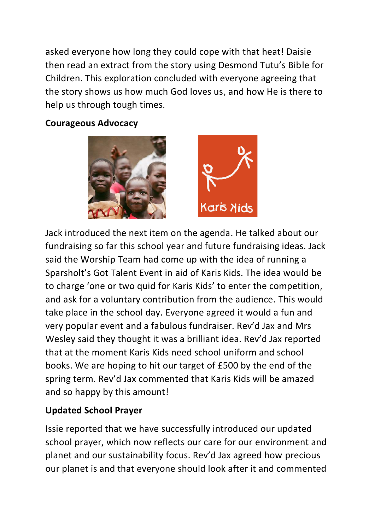asked everyone how long they could cope with that heat! Daisie then read an extract from the story using Desmond Tutu's Bible for Children. This exploration concluded with everyone agreeing that the story shows us how much God loves us, and how He is there to help us through tough times.

#### **Courageous Advocacy**



Jack introduced the next item on the agenda. He talked about our fundraising so far this school year and future fundraising ideas. Jack said the Worship Team had come up with the idea of running a Sparsholt's Got Talent Event in aid of Karis Kids. The idea would be to charge 'one or two quid for Karis Kids' to enter the competition, and ask for a voluntary contribution from the audience. This would take place in the school day. Everyone agreed it would a fun and very popular event and a fabulous fundraiser. Rev'd Jax and Mrs Wesley said they thought it was a brilliant idea. Rev'd Jax reported that at the moment Karis Kids need school uniform and school books. We are hoping to hit our target of £500 by the end of the spring term. Rev'd Jax commented that Karis Kids will be amazed and so happy by this amount!

## **Updated School Prayer**

Issie reported that we have successfully introduced our updated school prayer, which now reflects our care for our environment and planet and our sustainability focus. Rev'd Jax agreed how precious our planet is and that everyone should look after it and commented